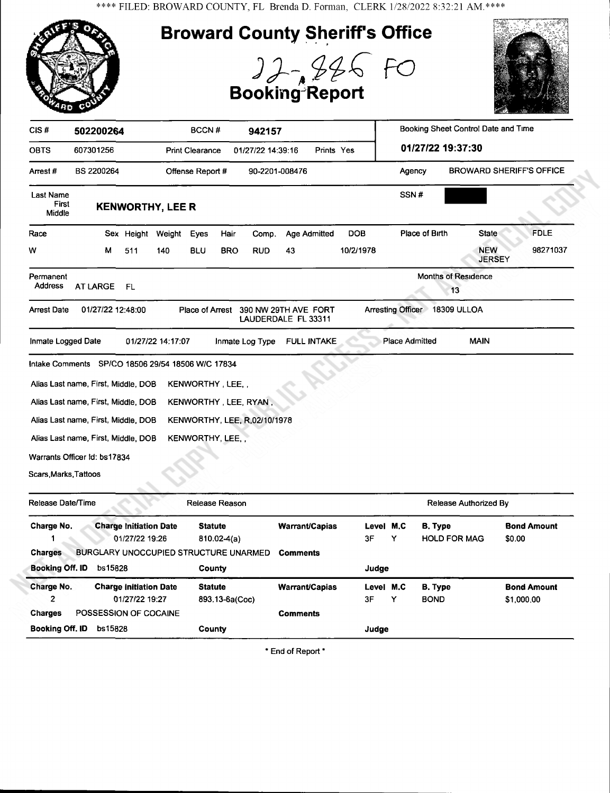\*\*\*\* FILED: BROWARD COUNTY, FL Brenda D. Forman, CLERK 1/28/2022 8:32:21 AM.\*\*\*\*



| Charge No.             | <b>Charge Initiation Date</b><br>01/27/22 19:26 | <b>Statute</b><br>$810.02-4(a)$ | <b>Warrant/Capias</b> | Level M.C<br>3F | Y | B. Type<br><b>HOLD FOR MAG</b> | <b>Bond Amount</b><br>\$0.00 |
|------------------------|-------------------------------------------------|---------------------------------|-----------------------|-----------------|---|--------------------------------|------------------------------|
| <b>Charges</b>         | <b>BURGLARY UNOCCUPIED STRUCTURE UNARMED</b>    |                                 | <b>Comments</b>       |                 |   |                                |                              |
| <b>Booking Off. ID</b> | bs15828                                         | <b>County</b>                   |                       | Judge           |   |                                |                              |
| Charge No.             | <b>Charge Initiation Date</b>                   | <b>Statute</b>                  | <b>Warrant/Capias</b> | Level M.C       |   | <b>B.</b> Type                 | <b>Bond Amount</b>           |
| 2                      | 01/27/22 19:27                                  | 893.13-6a(Coc)                  |                       | 3F              | Y | <b>BOND</b>                    | \$1,000.00                   |
| <b>Charges</b>         | POSSESSION OF COCAINE                           |                                 | <b>Comments</b>       |                 |   |                                |                              |
| Booking Off. ID        | bs15828                                         | <b>County</b>                   |                       | Judge           |   |                                |                              |

\* End of Report \*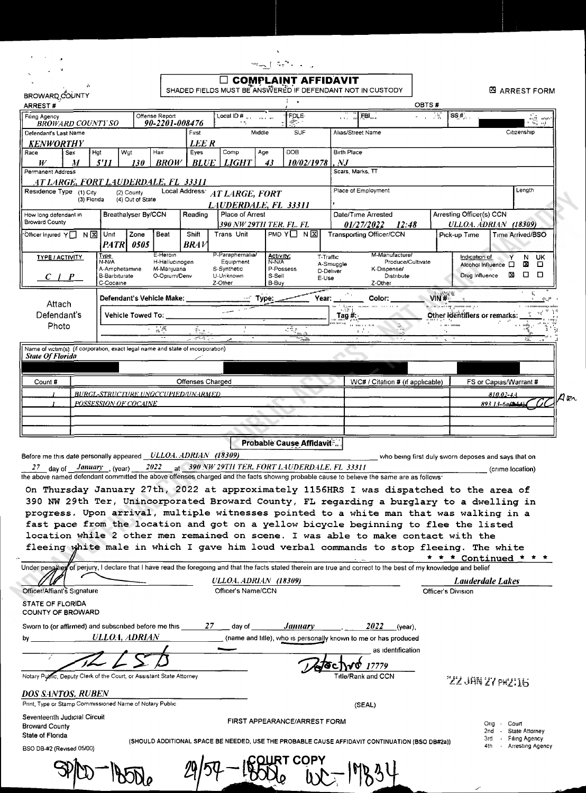| $\frac{1}{2}$ $\frac{1}{2}$ $\frac{1}{2}$ $\frac{1}{2}$ $\frac{1}{2}$ $\frac{1}{2}$ $\frac{1}{2}$ $\frac{1}{2}$ $\frac{1}{2}$ $\frac{1}{2}$ $\frac{1}{2}$ $\frac{1}{2}$ |  |
|-------------------------------------------------------------------------------------------------------------------------------------------------------------------------|--|

| $\Box$ complaint affidavit<br>SHADED FIELDS MUST BE ANSWERED IF DEFENDANT NOT IN CUSTODY<br><b>EX ARREST FORM</b><br>BROWARD COUNTY<br>$\mathbf{r}$<br>OBTS#<br>ARREST#<br>-15<br>SS#<br>Offense Report<br>Local ID #<br><b>FOLE</b><br>FBI<br>Filing Agency<br>90-2201-008476<br>45.<br><b>BROWARD COUNTY SO</b><br>Middle<br><b>SUF</b><br>First<br>Alias/Street Name<br>Citizenship<br>Defendant's Last Name<br><b>LEE R</b><br><b>KENWORTHY</b><br><b>DOB</b><br><b>Birth Place</b><br>Hat<br>Wat<br>Hair<br>Eves<br>Comp<br>Age<br>Sex<br>Race<br>W<br>5'11<br><b>BROW</b><br><b>BLUE</b><br><b>LIGHT</b><br>10/02/1978<br>$N$ J<br>М<br>130<br>43<br>Scars, Marks, TT<br>Permanent Address<br><u>AT LARGE, FORT LAUDERDALE, FL 33311</u><br>Place of Employment<br>Length<br>Local Address' AT LARGE, FORT<br>Residence Type (1) City<br>(2) County<br>(3) Florida<br>(4) Out of State<br>LAUDERDALE, FL 33311<br>Place of Arrest<br>Arresting Officer(s) CCN<br>Breathalyser By/CCN<br>Reading<br>Date/Time Arrested<br>How long defendant in<br><b>Broward County</b><br><b>ULLOA. ADRIAN (18309)</b><br>390 NW 29TH TER. FL. FL<br>01/27/2022<br>12:48<br><b>Transporting Officer/CCN</b><br>PMD $Y \square N$<br>NX<br>Unit<br>Zone<br>Beat<br>Shift<br><b>Trans Unit</b><br><sup>√</sup> Officer Injured Y Π<br>Pick-up Time<br>Time Arrived/BSO<br><b>PATRI</b><br>0505<br>BR4V<br>P-Paraphernalia/<br>E-Heroin<br>M-Manufacture/<br>Туре<br>Activity:<br>T-Traffic<br>N UK<br><b>TYPE / ACTIVITY</b><br>Indication of<br>N-N/A<br>Equipment<br>N-N/A<br>H-Hallucinogen<br>Produce/Cultivate<br>A-Smuggle<br>Alcohol Influence<br>м<br>o<br>□<br>A-Amphetamine<br>S-Synthetic<br>P-Possess<br>M-Marijuana<br>K-Dispense/<br>D-Deliver<br>図<br>□<br>$\Box$<br>Drug Influence<br><b>B-Barbiturate</b><br>O-Opium/Deriv<br>U-Unknown<br>S-Sell<br>Distribute<br>$C+P$<br>E-Use<br>B-Buy<br>C-Cocaine<br>Z-Other<br>Z-Other<br>VIN#L<br>E.<br>Year:<br>Defendant's Vehicle Make: _________<br>$\cdots$ Type:<br>Color:<br>Attach<br>படியம் மாய் பட்ட<br>manual time and an an-<br>Other Identifiers or remarks:<br>Defendant's<br><b>Vehicle Towed To:</b><br>$\frac{1}{2}$ Tag #:<br>100110-011<br>11.19811333<br><b>THEF</b> HOURS<br>Photo<br>誤<br>È.<br>a dia<br>Pr.<br>Name of victim(s) (if corporation, exact legal name and state of incorporation)<br><b>State Of Florida</b> |  |  |  |  |  |  |  |                                                     |  |  |
|------------------------------------------------------------------------------------------------------------------------------------------------------------------------------------------------------------------------------------------------------------------------------------------------------------------------------------------------------------------------------------------------------------------------------------------------------------------------------------------------------------------------------------------------------------------------------------------------------------------------------------------------------------------------------------------------------------------------------------------------------------------------------------------------------------------------------------------------------------------------------------------------------------------------------------------------------------------------------------------------------------------------------------------------------------------------------------------------------------------------------------------------------------------------------------------------------------------------------------------------------------------------------------------------------------------------------------------------------------------------------------------------------------------------------------------------------------------------------------------------------------------------------------------------------------------------------------------------------------------------------------------------------------------------------------------------------------------------------------------------------------------------------------------------------------------------------------------------------------------------------------------------------------------------------------------------------------------------------------------------------------------------------------------------------------------------------------------------------------------------------------------------------------------------------------------------------------------------------------------------------------------------------------------------------------------------------------------------------------------------------------------------|--|--|--|--|--|--|--|-----------------------------------------------------|--|--|
|                                                                                                                                                                                                                                                                                                                                                                                                                                                                                                                                                                                                                                                                                                                                                                                                                                                                                                                                                                                                                                                                                                                                                                                                                                                                                                                                                                                                                                                                                                                                                                                                                                                                                                                                                                                                                                                                                                                                                                                                                                                                                                                                                                                                                                                                                                                                                                                                |  |  |  |  |  |  |  |                                                     |  |  |
|                                                                                                                                                                                                                                                                                                                                                                                                                                                                                                                                                                                                                                                                                                                                                                                                                                                                                                                                                                                                                                                                                                                                                                                                                                                                                                                                                                                                                                                                                                                                                                                                                                                                                                                                                                                                                                                                                                                                                                                                                                                                                                                                                                                                                                                                                                                                                                                                |  |  |  |  |  |  |  |                                                     |  |  |
|                                                                                                                                                                                                                                                                                                                                                                                                                                                                                                                                                                                                                                                                                                                                                                                                                                                                                                                                                                                                                                                                                                                                                                                                                                                                                                                                                                                                                                                                                                                                                                                                                                                                                                                                                                                                                                                                                                                                                                                                                                                                                                                                                                                                                                                                                                                                                                                                |  |  |  |  |  |  |  |                                                     |  |  |
|                                                                                                                                                                                                                                                                                                                                                                                                                                                                                                                                                                                                                                                                                                                                                                                                                                                                                                                                                                                                                                                                                                                                                                                                                                                                                                                                                                                                                                                                                                                                                                                                                                                                                                                                                                                                                                                                                                                                                                                                                                                                                                                                                                                                                                                                                                                                                                                                |  |  |  |  |  |  |  | $\frac{1}{\ln\sqrt{2}}$ and $\frac{1}{\ln\sqrt{2}}$ |  |  |
|                                                                                                                                                                                                                                                                                                                                                                                                                                                                                                                                                                                                                                                                                                                                                                                                                                                                                                                                                                                                                                                                                                                                                                                                                                                                                                                                                                                                                                                                                                                                                                                                                                                                                                                                                                                                                                                                                                                                                                                                                                                                                                                                                                                                                                                                                                                                                                                                |  |  |  |  |  |  |  |                                                     |  |  |
|                                                                                                                                                                                                                                                                                                                                                                                                                                                                                                                                                                                                                                                                                                                                                                                                                                                                                                                                                                                                                                                                                                                                                                                                                                                                                                                                                                                                                                                                                                                                                                                                                                                                                                                                                                                                                                                                                                                                                                                                                                                                                                                                                                                                                                                                                                                                                                                                |  |  |  |  |  |  |  |                                                     |  |  |
|                                                                                                                                                                                                                                                                                                                                                                                                                                                                                                                                                                                                                                                                                                                                                                                                                                                                                                                                                                                                                                                                                                                                                                                                                                                                                                                                                                                                                                                                                                                                                                                                                                                                                                                                                                                                                                                                                                                                                                                                                                                                                                                                                                                                                                                                                                                                                                                                |  |  |  |  |  |  |  |                                                     |  |  |
|                                                                                                                                                                                                                                                                                                                                                                                                                                                                                                                                                                                                                                                                                                                                                                                                                                                                                                                                                                                                                                                                                                                                                                                                                                                                                                                                                                                                                                                                                                                                                                                                                                                                                                                                                                                                                                                                                                                                                                                                                                                                                                                                                                                                                                                                                                                                                                                                |  |  |  |  |  |  |  |                                                     |  |  |
|                                                                                                                                                                                                                                                                                                                                                                                                                                                                                                                                                                                                                                                                                                                                                                                                                                                                                                                                                                                                                                                                                                                                                                                                                                                                                                                                                                                                                                                                                                                                                                                                                                                                                                                                                                                                                                                                                                                                                                                                                                                                                                                                                                                                                                                                                                                                                                                                |  |  |  |  |  |  |  |                                                     |  |  |
|                                                                                                                                                                                                                                                                                                                                                                                                                                                                                                                                                                                                                                                                                                                                                                                                                                                                                                                                                                                                                                                                                                                                                                                                                                                                                                                                                                                                                                                                                                                                                                                                                                                                                                                                                                                                                                                                                                                                                                                                                                                                                                                                                                                                                                                                                                                                                                                                |  |  |  |  |  |  |  |                                                     |  |  |
|                                                                                                                                                                                                                                                                                                                                                                                                                                                                                                                                                                                                                                                                                                                                                                                                                                                                                                                                                                                                                                                                                                                                                                                                                                                                                                                                                                                                                                                                                                                                                                                                                                                                                                                                                                                                                                                                                                                                                                                                                                                                                                                                                                                                                                                                                                                                                                                                |  |  |  |  |  |  |  |                                                     |  |  |
|                                                                                                                                                                                                                                                                                                                                                                                                                                                                                                                                                                                                                                                                                                                                                                                                                                                                                                                                                                                                                                                                                                                                                                                                                                                                                                                                                                                                                                                                                                                                                                                                                                                                                                                                                                                                                                                                                                                                                                                                                                                                                                                                                                                                                                                                                                                                                                                                |  |  |  |  |  |  |  |                                                     |  |  |
|                                                                                                                                                                                                                                                                                                                                                                                                                                                                                                                                                                                                                                                                                                                                                                                                                                                                                                                                                                                                                                                                                                                                                                                                                                                                                                                                                                                                                                                                                                                                                                                                                                                                                                                                                                                                                                                                                                                                                                                                                                                                                                                                                                                                                                                                                                                                                                                                |  |  |  |  |  |  |  |                                                     |  |  |
|                                                                                                                                                                                                                                                                                                                                                                                                                                                                                                                                                                                                                                                                                                                                                                                                                                                                                                                                                                                                                                                                                                                                                                                                                                                                                                                                                                                                                                                                                                                                                                                                                                                                                                                                                                                                                                                                                                                                                                                                                                                                                                                                                                                                                                                                                                                                                                                                |  |  |  |  |  |  |  |                                                     |  |  |
|                                                                                                                                                                                                                                                                                                                                                                                                                                                                                                                                                                                                                                                                                                                                                                                                                                                                                                                                                                                                                                                                                                                                                                                                                                                                                                                                                                                                                                                                                                                                                                                                                                                                                                                                                                                                                                                                                                                                                                                                                                                                                                                                                                                                                                                                                                                                                                                                |  |  |  |  |  |  |  |                                                     |  |  |
|                                                                                                                                                                                                                                                                                                                                                                                                                                                                                                                                                                                                                                                                                                                                                                                                                                                                                                                                                                                                                                                                                                                                                                                                                                                                                                                                                                                                                                                                                                                                                                                                                                                                                                                                                                                                                                                                                                                                                                                                                                                                                                                                                                                                                                                                                                                                                                                                |  |  |  |  |  |  |  |                                                     |  |  |
|                                                                                                                                                                                                                                                                                                                                                                                                                                                                                                                                                                                                                                                                                                                                                                                                                                                                                                                                                                                                                                                                                                                                                                                                                                                                                                                                                                                                                                                                                                                                                                                                                                                                                                                                                                                                                                                                                                                                                                                                                                                                                                                                                                                                                                                                                                                                                                                                |  |  |  |  |  |  |  |                                                     |  |  |
|                                                                                                                                                                                                                                                                                                                                                                                                                                                                                                                                                                                                                                                                                                                                                                                                                                                                                                                                                                                                                                                                                                                                                                                                                                                                                                                                                                                                                                                                                                                                                                                                                                                                                                                                                                                                                                                                                                                                                                                                                                                                                                                                                                                                                                                                                                                                                                                                |  |  |  |  |  |  |  |                                                     |  |  |
|                                                                                                                                                                                                                                                                                                                                                                                                                                                                                                                                                                                                                                                                                                                                                                                                                                                                                                                                                                                                                                                                                                                                                                                                                                                                                                                                                                                                                                                                                                                                                                                                                                                                                                                                                                                                                                                                                                                                                                                                                                                                                                                                                                                                                                                                                                                                                                                                |  |  |  |  |  |  |  |                                                     |  |  |
|                                                                                                                                                                                                                                                                                                                                                                                                                                                                                                                                                                                                                                                                                                                                                                                                                                                                                                                                                                                                                                                                                                                                                                                                                                                                                                                                                                                                                                                                                                                                                                                                                                                                                                                                                                                                                                                                                                                                                                                                                                                                                                                                                                                                                                                                                                                                                                                                |  |  |  |  |  |  |  |                                                     |  |  |
|                                                                                                                                                                                                                                                                                                                                                                                                                                                                                                                                                                                                                                                                                                                                                                                                                                                                                                                                                                                                                                                                                                                                                                                                                                                                                                                                                                                                                                                                                                                                                                                                                                                                                                                                                                                                                                                                                                                                                                                                                                                                                                                                                                                                                                                                                                                                                                                                |  |  |  |  |  |  |  |                                                     |  |  |
|                                                                                                                                                                                                                                                                                                                                                                                                                                                                                                                                                                                                                                                                                                                                                                                                                                                                                                                                                                                                                                                                                                                                                                                                                                                                                                                                                                                                                                                                                                                                                                                                                                                                                                                                                                                                                                                                                                                                                                                                                                                                                                                                                                                                                                                                                                                                                                                                |  |  |  |  |  |  |  |                                                     |  |  |
|                                                                                                                                                                                                                                                                                                                                                                                                                                                                                                                                                                                                                                                                                                                                                                                                                                                                                                                                                                                                                                                                                                                                                                                                                                                                                                                                                                                                                                                                                                                                                                                                                                                                                                                                                                                                                                                                                                                                                                                                                                                                                                                                                                                                                                                                                                                                                                                                |  |  |  |  |  |  |  |                                                     |  |  |
|                                                                                                                                                                                                                                                                                                                                                                                                                                                                                                                                                                                                                                                                                                                                                                                                                                                                                                                                                                                                                                                                                                                                                                                                                                                                                                                                                                                                                                                                                                                                                                                                                                                                                                                                                                                                                                                                                                                                                                                                                                                                                                                                                                                                                                                                                                                                                                                                |  |  |  |  |  |  |  |                                                     |  |  |
|                                                                                                                                                                                                                                                                                                                                                                                                                                                                                                                                                                                                                                                                                                                                                                                                                                                                                                                                                                                                                                                                                                                                                                                                                                                                                                                                                                                                                                                                                                                                                                                                                                                                                                                                                                                                                                                                                                                                                                                                                                                                                                                                                                                                                                                                                                                                                                                                |  |  |  |  |  |  |  |                                                     |  |  |
| Count#<br>Offenses Charged<br>WC# / Citation # (if applicable)<br>FS or Capias/Warrant #                                                                                                                                                                                                                                                                                                                                                                                                                                                                                                                                                                                                                                                                                                                                                                                                                                                                                                                                                                                                                                                                                                                                                                                                                                                                                                                                                                                                                                                                                                                                                                                                                                                                                                                                                                                                                                                                                                                                                                                                                                                                                                                                                                                                                                                                                                       |  |  |  |  |  |  |  |                                                     |  |  |
| <b>BURGL-STRUCTURE UNOCCUPIED/UNARMED.</b>                                                                                                                                                                                                                                                                                                                                                                                                                                                                                                                                                                                                                                                                                                                                                                                                                                                                                                                                                                                                                                                                                                                                                                                                                                                                                                                                                                                                                                                                                                                                                                                                                                                                                                                                                                                                                                                                                                                                                                                                                                                                                                                                                                                                                                                                                                                                                     |  |  |  |  |  |  |  |                                                     |  |  |
| 810.02-44<br>POSSESSION OF COCAINE<br>893 13-6a (214)                                                                                                                                                                                                                                                                                                                                                                                                                                                                                                                                                                                                                                                                                                                                                                                                                                                                                                                                                                                                                                                                                                                                                                                                                                                                                                                                                                                                                                                                                                                                                                                                                                                                                                                                                                                                                                                                                                                                                                                                                                                                                                                                                                                                                                                                                                                                          |  |  |  |  |  |  |  |                                                     |  |  |
|                                                                                                                                                                                                                                                                                                                                                                                                                                                                                                                                                                                                                                                                                                                                                                                                                                                                                                                                                                                                                                                                                                                                                                                                                                                                                                                                                                                                                                                                                                                                                                                                                                                                                                                                                                                                                                                                                                                                                                                                                                                                                                                                                                                                                                                                                                                                                                                                |  |  |  |  |  |  |  |                                                     |  |  |
|                                                                                                                                                                                                                                                                                                                                                                                                                                                                                                                                                                                                                                                                                                                                                                                                                                                                                                                                                                                                                                                                                                                                                                                                                                                                                                                                                                                                                                                                                                                                                                                                                                                                                                                                                                                                                                                                                                                                                                                                                                                                                                                                                                                                                                                                                                                                                                                                |  |  |  |  |  |  |  |                                                     |  |  |
|                                                                                                                                                                                                                                                                                                                                                                                                                                                                                                                                                                                                                                                                                                                                                                                                                                                                                                                                                                                                                                                                                                                                                                                                                                                                                                                                                                                                                                                                                                                                                                                                                                                                                                                                                                                                                                                                                                                                                                                                                                                                                                                                                                                                                                                                                                                                                                                                |  |  |  |  |  |  |  |                                                     |  |  |
| <b>Probable Cause Affidavit:</b>                                                                                                                                                                                                                                                                                                                                                                                                                                                                                                                                                                                                                                                                                                                                                                                                                                                                                                                                                                                                                                                                                                                                                                                                                                                                                                                                                                                                                                                                                                                                                                                                                                                                                                                                                                                                                                                                                                                                                                                                                                                                                                                                                                                                                                                                                                                                                               |  |  |  |  |  |  |  |                                                     |  |  |
| Before me this date personally appeared _ULLOA. ADRIAN (18309)<br>who being first duly sworn deposes and says that on                                                                                                                                                                                                                                                                                                                                                                                                                                                                                                                                                                                                                                                                                                                                                                                                                                                                                                                                                                                                                                                                                                                                                                                                                                                                                                                                                                                                                                                                                                                                                                                                                                                                                                                                                                                                                                                                                                                                                                                                                                                                                                                                                                                                                                                                          |  |  |  |  |  |  |  |                                                     |  |  |
|                                                                                                                                                                                                                                                                                                                                                                                                                                                                                                                                                                                                                                                                                                                                                                                                                                                                                                                                                                                                                                                                                                                                                                                                                                                                                                                                                                                                                                                                                                                                                                                                                                                                                                                                                                                                                                                                                                                                                                                                                                                                                                                                                                                                                                                                                                                                                                                                |  |  |  |  |  |  |  |                                                     |  |  |

*January* (year) 2022  $_{\text{at}}$  390 NW 29TH TER, FORT LAUDERDALE, FL 33311 27 dav of (crime location) the above named defendant committed the above offenses charged and the facts showing probable cause to believe the same are as follows:

On Thursday January 27th, 2022 at approximately 1156HRS I was dispatched to the area of 390 NW 29th Ter, Unincorporated Broward County, FL regarding a burglary to a dwelling in progress. Upon arrival, multiple witnesses pointed to a white man that was walking in a fast pace from the location and got on a yellow bicycle beginning to flee the listed location while 2 other men remained on scene. I was able to make contact with the fleeing white male in which I gave him loud verbal commands to stop fleeing. The white \* \* \* Continued \* \* \*

Under pengities of perjury, I declare that I have read the foregoing and that the facts stated therein are true and correct to the best of my knowledge and belief **ULLOA ADRIAN (18309)** Lauderdale Lakes Officer/Affiant's Signature Officer's Name/CCN Officer's Division STATE OF FLORIDA COUNTY OF BROWARD Sworn to (or affirmed) and subscribed before me this **January**  $2022$  (year), 27  $\_$  day of  $\_$ ULLOA, ADRIAN (name and title), who is personally known to me or has produced by as identification √o 17779 Notary Public, Deputy Clerk of the Court, or Assistant State Attorney Title/Rank and CCN "ZZ JAN ZY PWZI16 DOS SANTOS, RUBEN Print, Type or Stamp Commissioned Name of Notary Public (SEAL) Seventeenth Judicial Circuit FIRST APPEARANCE/ARREST FORM Orig Court **Broward County** State Attorney 2nd State of Florida 3rd Filing Agency (SHOULD ADDITIONAL SPACE BE NEEDED, USE THE PROBABLE CAUSE AFFIDAVIT CONTINUATION (BSO DB#2a)) BSO DB-#2 (Revised 05/00)

Arresting Agency